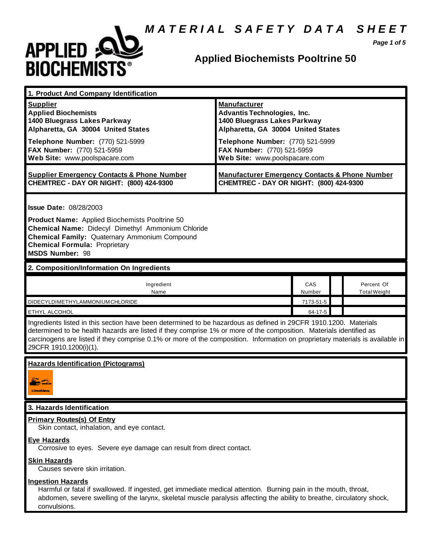# *M A T E R I A L S A F E T Y D A T A S H E E T*



## **Applied Biochemists Pooltrine 50**

*Page 1 of 5*

| 1. Product And Company Identification                                                                                                                                                                                                                                                                                                                                                             |                                                                                                                                                                                                                                    |               |                                   |
|---------------------------------------------------------------------------------------------------------------------------------------------------------------------------------------------------------------------------------------------------------------------------------------------------------------------------------------------------------------------------------------------------|------------------------------------------------------------------------------------------------------------------------------------------------------------------------------------------------------------------------------------|---------------|-----------------------------------|
| <b>Supplier</b><br><b>Applied Biochemists</b><br>1400 Bluegrass Lakes Parkway<br>Alpharetta, GA 30004 United States<br>Telephone Number: (770) 521-5999<br>FAX Number: (770) 521-5959<br>Web Site: www.poolspacare.com                                                                                                                                                                            | <b>Manufacturer</b><br><b>Advantis Technologies, Inc.</b><br>1400 Bluegrass Lakes Parkway<br>Alpharetta, GA 30004 United States<br>Telephone Number: (770) 521-5999<br>FAX Number: (770) 521-5959<br>Web Site: www.poolspacare.com |               |                                   |
| <b>Supplier Emergency Contacts &amp; Phone Number</b><br>CHEMTREC - DAY OR NIGHT: (800) 424-9300                                                                                                                                                                                                                                                                                                  | <b>Manufacturer Emergency Contacts &amp; Phone Number</b><br>CHEMTREC - DAY OR NIGHT: (800) 424-9300                                                                                                                               |               |                                   |
| <b>Issue Date: 08/28/2003</b><br>Product Name: Applied Biochemists Pooltrine 50<br>Chemical Name: Didecyl Dimethyl Ammonium Chloride<br><b>Chemical Family: Quaternary Ammonium Compound</b><br><b>Chemical Formula: Proprietary</b><br><b>MSDS Number: 98</b>                                                                                                                                    |                                                                                                                                                                                                                                    |               |                                   |
| 2. Composition/Information On Ingredients                                                                                                                                                                                                                                                                                                                                                         |                                                                                                                                                                                                                                    |               |                                   |
| Ingredient<br>Name                                                                                                                                                                                                                                                                                                                                                                                |                                                                                                                                                                                                                                    | CAS<br>Number | Percent Of<br><b>Total Weight</b> |
| DIDECYLDIMETHYLAMMONIUMCHLORIDE                                                                                                                                                                                                                                                                                                                                                                   |                                                                                                                                                                                                                                    | 7173-51-5     |                                   |
| ETHYL ALCOHOL                                                                                                                                                                                                                                                                                                                                                                                     |                                                                                                                                                                                                                                    | 64-17-5       |                                   |
| Ingredients listed in this section have been determined to be hazardous as defined in 29CFR 1910.1200. Materials<br>determined to be health hazards are listed if they comprise 1% or more of the composition. Materials identified as<br>carcinogens are listed if they comprise 0.1% or more of the composition. Information on proprietary materials is available in<br>29CFR 1910.1200(i)(1). |                                                                                                                                                                                                                                    |               |                                   |
| <b>Hazards Identification (Pictograms)</b><br>: Nordânve                                                                                                                                                                                                                                                                                                                                          |                                                                                                                                                                                                                                    |               |                                   |
| 3. Hazards Identification                                                                                                                                                                                                                                                                                                                                                                         |                                                                                                                                                                                                                                    |               |                                   |
| <b>Primary Routes(s) Of Entry</b><br>Skin contact, inhalation, and eye contact.                                                                                                                                                                                                                                                                                                                   |                                                                                                                                                                                                                                    |               |                                   |
| <b>Eye Hazards</b><br>Corrosive to eyes. Severe eye damage can result from direct contact.                                                                                                                                                                                                                                                                                                        |                                                                                                                                                                                                                                    |               |                                   |
| <b>Skin Hazards</b><br>Causes severe skin irritation.                                                                                                                                                                                                                                                                                                                                             |                                                                                                                                                                                                                                    |               |                                   |
| <b>Ingestion Hazards</b><br>Harmful or fatal if swallowed. If ingested, get immediate medical attention. Burning pain in the mouth, throat,<br>abdomen, severe swelling of the larynx, skeletal muscle paralysis affecting the ability to breathe, circulatory shock,                                                                                                                             |                                                                                                                                                                                                                                    |               |                                   |

convulsions.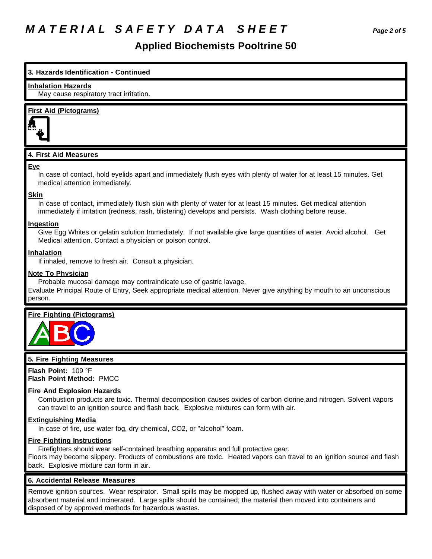## *M A T E R I A L S A F E T Y D A T A S H E E T Page 2 of 5*

## **Applied Biochemists Pooltrine 50**

## **3. Hazards Identification - Continued**

#### **Inhalation Hazards**

May cause respiratory tract irritation.

## **First Aid (Pictograms)**



## **4. First Aid Measures**

#### **Eye**

In case of contact, hold eyelids apart and immediately flush eyes with plenty of water for at least 15 minutes. Get medical attention immediately.

### **Skin**

In case of contact, immediately flush skin with plenty of water for at least 15 minutes. Get medical attention immediately if irritation (redness, rash, blistering) develops and persists. Wash clothing before reuse.

### **Ingestion**

Give Egg Whites or gelatin solution Immediately. If not available give large quantities of water. Avoid alcohol. Get Medical attention. Contact a physician or poison control.

### **Inhalation**

If inhaled, remove to fresh air. Consult a physician.

### **Note To Physician**

Probable mucosal damage may contraindicate use of gastric lavage.

Evaluate Principal Route of Entry, Seek appropriate medical attention. Never give anything by mouth to an unconscious person.

## **Fire Fighting (Pictograms)**



### **5. Fire Fighting Measures**

**Flash Point:** 109 °F **Flash Point Method:** PMCC

### **Fire And Explosion Hazards**

Combustion products are toxic. Thermal decomposition causes oxides of carbon clorine,and nitrogen. Solvent vapors can travel to an ignition source and flash back. Explosive mixtures can form with air.

### **Extinguishing Media**

In case of fire, use water fog, dry chemical, CO2, or "alcohol" foam.

### **Fire Fighting Instructions**

Firefighters should wear self-contained breathing apparatus and full protective gear.

Floors may become slippery. Products of combustions are toxic. Heated vapors can travel to an ignition source and flash back. Explosive mixture can form in air.

### **6. Accidental Release Measures**

Remove ignition sources. Wear respirator. Small spills may be mopped up, flushed away with water or absorbed on some absorbent material and incinerated. Large spills should be contained; the material then moved into containers and disposed of by approved methods for hazardous wastes.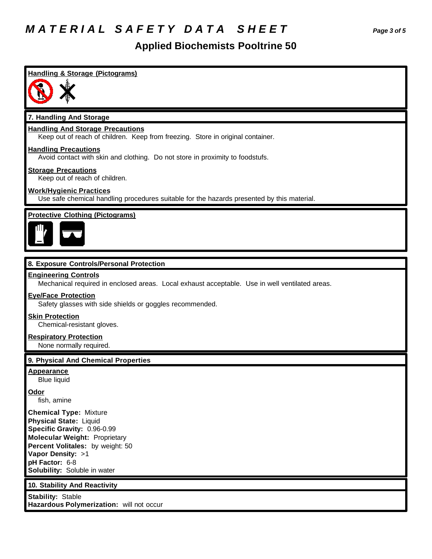## *M A T E R I A L S A F E T Y D A T A S H E E T Page 3 of 5*

## **Applied Biochemists Pooltrine 50**

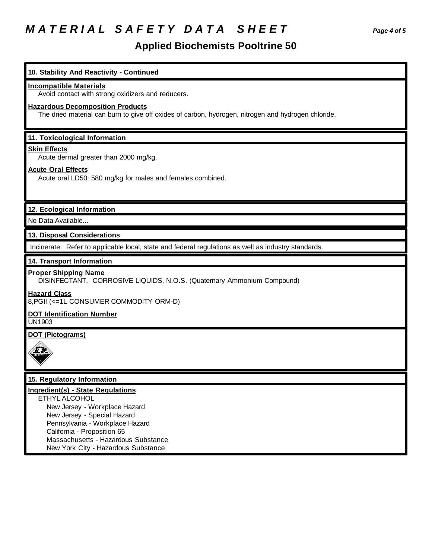# *M A T E R I A L S A F E T Y D A T A S H E E T Page 4 of 5*

## **Applied Biochemists Pooltrine 50**

| 10. Stability And Reactivity - Continued                                                                                                                                                                                                                                  |
|---------------------------------------------------------------------------------------------------------------------------------------------------------------------------------------------------------------------------------------------------------------------------|
| <b>Incompatible Materials</b><br>Avoid contact with strong oxidizers and reducers.                                                                                                                                                                                        |
| <b>Hazardous Decomposition Products</b><br>The dried material can burn to give off oxides of carbon, hydrogen, nitrogen and hydrogen chloride.                                                                                                                            |
| 11. Toxicological Information                                                                                                                                                                                                                                             |
| <b>Skin Effects</b><br>Acute dermal greater than 2000 mg/kg.                                                                                                                                                                                                              |
| <b>Acute Oral Effects</b><br>Acute oral LD50: 580 mg/kg for males and females combined.                                                                                                                                                                                   |
| 12. Ecological Information                                                                                                                                                                                                                                                |
| No Data Available                                                                                                                                                                                                                                                         |
| 13. Disposal Considerations                                                                                                                                                                                                                                               |
| Incinerate. Refer to applicable local, state and federal regulations as well as industry standards.                                                                                                                                                                       |
| 14. Transport Information                                                                                                                                                                                                                                                 |
| <b>Proper Shipping Name</b><br>DISINFECTANT, CORROSIVE LIQUIDS, N.O.S. (Quaternary Ammonium Compound)                                                                                                                                                                     |
| <b>Hazard Class</b><br>8, PGII (<= 1L CONSUMER COMMODITY ORM-D)                                                                                                                                                                                                           |
| <b>DOT Identification Number</b><br><b>UN1903</b>                                                                                                                                                                                                                         |
| <b>DOT (Pictograms)</b>                                                                                                                                                                                                                                                   |
| 15. Regulatory Information                                                                                                                                                                                                                                                |
| <b>Ingredient(s) - State Regulations</b><br>ETHYL ALCOHOL<br>New Jersey - Workplace Hazard<br>New Jersey - Special Hazard<br>Pennsylvania - Workplace Hazard<br>California - Proposition 65<br>Massachusetts - Hazardous Substance<br>New York City - Hazardous Substance |
|                                                                                                                                                                                                                                                                           |